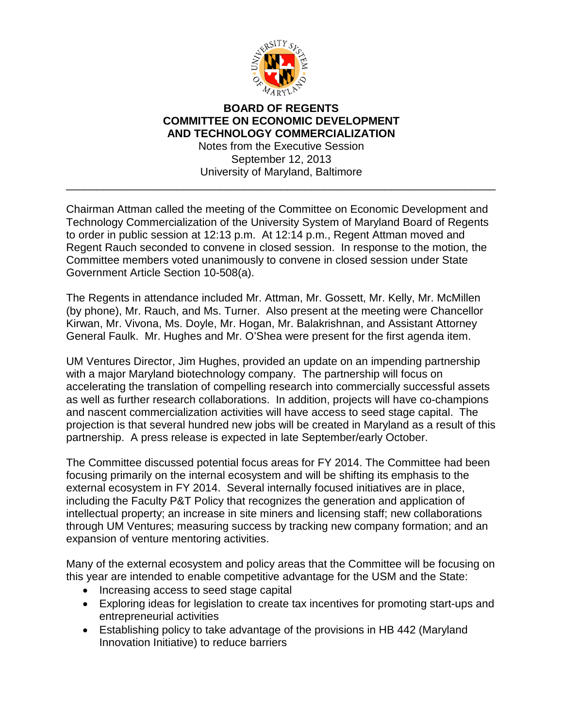

## **BOARD OF REGENTS COMMITTEE ON ECONOMIC DEVELOPMENT AND TECHNOLOGY COMMERCIALIZATION**

Notes from the Executive Session September 12, 2013 University of Maryland, Baltimore

\_\_\_\_\_\_\_\_\_\_\_\_\_\_\_\_\_\_\_\_\_\_\_\_\_\_\_\_\_\_\_\_\_\_\_\_\_\_\_\_\_\_\_\_\_\_\_\_\_\_\_\_\_\_\_\_\_\_\_\_\_\_\_\_\_\_\_\_\_\_

Chairman Attman called the meeting of the Committee on Economic Development and Technology Commercialization of the University System of Maryland Board of Regents to order in public session at 12:13 p.m. At 12:14 p.m., Regent Attman moved and Regent Rauch seconded to convene in closed session. In response to the motion, the Committee members voted unanimously to convene in closed session under State Government Article Section 10-508(a).

The Regents in attendance included Mr. Attman, Mr. Gossett, Mr. Kelly, Mr. McMillen (by phone), Mr. Rauch, and Ms. Turner. Also present at the meeting were Chancellor Kirwan, Mr. Vivona, Ms. Doyle, Mr. Hogan, Mr. Balakrishnan, and Assistant Attorney General Faulk. Mr. Hughes and Mr. O'Shea were present for the first agenda item.

UM Ventures Director, Jim Hughes, provided an update on an impending partnership with a major Maryland biotechnology company. The partnership will focus on accelerating the translation of compelling research into commercially successful assets as well as further research collaborations. In addition, projects will have co-champions and nascent commercialization activities will have access to seed stage capital. The projection is that several hundred new jobs will be created in Maryland as a result of this partnership. A press release is expected in late September/early October.

The Committee discussed potential focus areas for FY 2014. The Committee had been focusing primarily on the internal ecosystem and will be shifting its emphasis to the external ecosystem in FY 2014. Several internally focused initiatives are in place, including the Faculty P&T Policy that recognizes the generation and application of intellectual property; an increase in site miners and licensing staff; new collaborations through UM Ventures; measuring success by tracking new company formation; and an expansion of venture mentoring activities.

Many of the external ecosystem and policy areas that the Committee will be focusing on this year are intended to enable competitive advantage for the USM and the State:

- Increasing access to seed stage capital
- Exploring ideas for legislation to create tax incentives for promoting start-ups and entrepreneurial activities
- Establishing policy to take advantage of the provisions in HB 442 (Maryland Innovation Initiative) to reduce barriers